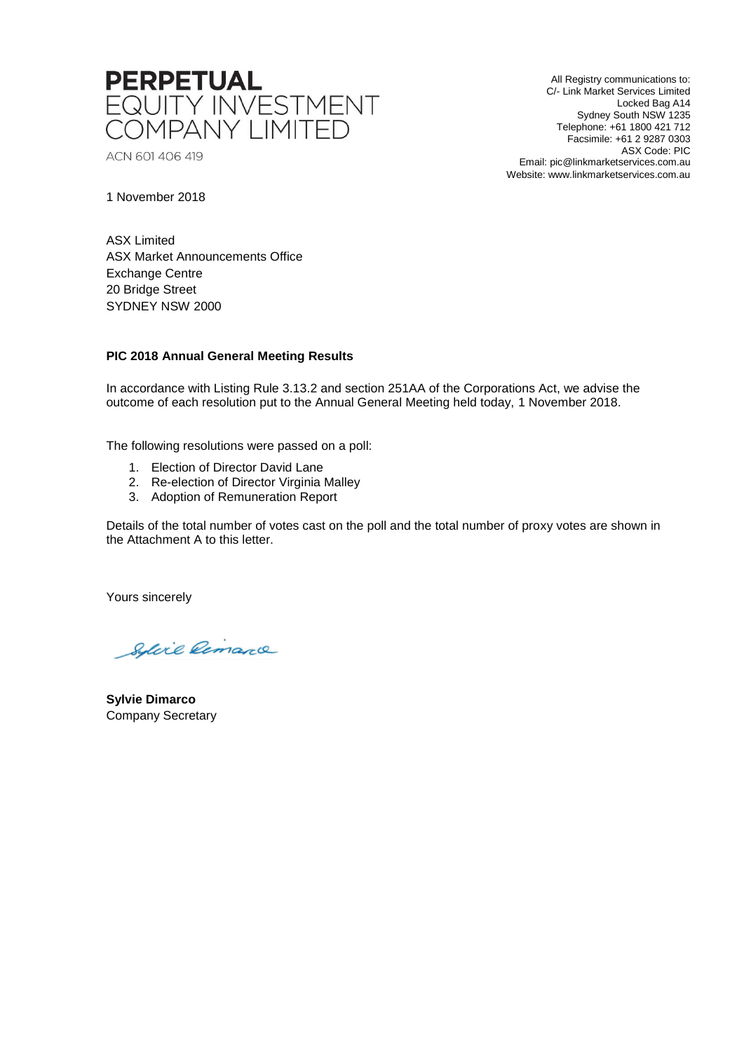

ACN 601 406 419

All Registry communications to: C/- Link Market Services Limited Locked Bag A14 Sydney South NSW 1235 Telephone: +61 1800 421 712 Facsimile: +61 2 9287 0303 ASX Code: PIC Email: pic@linkmarketservices.com.au Website: www.linkmarketservices.com.au

1 November 2018

ASX Limited ASX Market Announcements Office Exchange Centre 20 Bridge Street SYDNEY NSW 2000

## **PIC 2018 Annual General Meeting Results**

In accordance with Listing Rule 3.13.2 and section 251AA of the Corporations Act, we advise the outcome of each resolution put to the Annual General Meeting held today, 1 November 2018.

The following resolutions were passed on a poll:

- 1. Election of Director David Lane
- 2. Re-election of Director Virginia Malley
- 3. Adoption of Remuneration Report

Details of the total number of votes cast on the poll and the total number of proxy votes are shown in the Attachment A to this letter.

Yours sincerely

Sylvie Remarce

**Sylvie Dimarco** Company Secretary